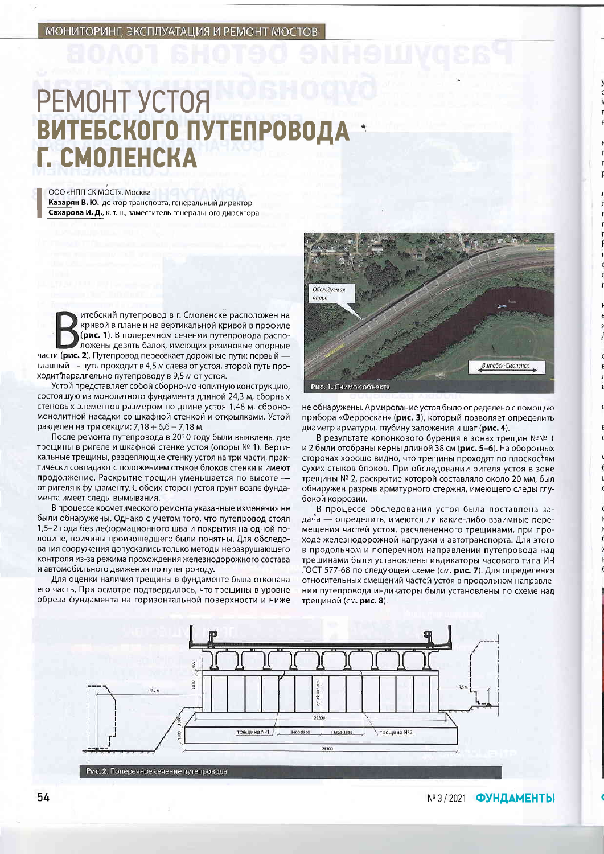## **PEMOHT YCTOЯ ВИТЕБСКОГО ПУТЕПРОВО** Г. СМОЛЕНСКА

ООО «НПП СК МОСТ», Москва Казарян В. Ю., доктор транспорта, генеральный директор Сахарова И. Д., к. т. н., заместитель генерального директора

итебский путепровод в г. Смоленске расположен на кривой в плане и на вертикальной кривой в профиле (рис. 1). В поперечном сечении путепровода расположены девять балок, имеющих резиновые опорные части (рис. 2). Путепровод пересекает дорожные пути: первый главный - путь проходит в 4,5 м слева от устоя, второй путь проходит параллельно путепроводу в 9,5 м от устоя.

Устой представляет собой сборно-монолитную конструкцию, состоящую из монолитного фундамента длиной 24.3 м, сборных стеновых элементов размером по длине устоя 1,48 м, сборномонолитной насадки со шкафной стенкой и открылками. Устой разделен на три секции: 7,18 + 6,6 + 7,18 м.

После ремонта путепровода в 2010 году были выявлены две трещины в ригеле и шкафной стенке устоя (опоры № 1). Вертикальные трещины, разделяющие стенку устоя на три части, практически совпадают с положением стыков блоков стенки и имеют продолжение. Раскрытие трещин уменьшается по высоте от ригеля к фундаменту. С обеих сторон устоя грунт возле фундамента имеет следы вымывания.

В процессе косметического ремонта указанные изменения не были обнаружены. Однако с учетом того, что путепровод стоял 1,5-2 года без деформационного шва и покрытия на одной половине, причины произошедшего были понятны. Для обследования сооружения допускались только методы неразрушающего контроля из-за режима прохождения железнодорожного состава и автомобильного движения по путепроводу.

Для оценки наличия трещины в фундаменте была откопана его часть. При осмотре подтвердилось, что трещины в уровне обреза фундамента на горизонтальной поверхности и ниже



не обнаружены. Армирование устоя было определено с помощью прибора «Ферроскан» (рис. 3), который позволяет определить диаметр арматуры, глубину заложения и шаг (рис. 4).

В результате колонкового бурения в зонах трещин №№ 1 и 2 были отобраны керны длиной 38 см (рис. 5-6). На оборотных сторонах хорошо видно, что трещины проходят по плоскостям сухих стыков блоков. При обследовании ригеля устоя в зоне трещины № 2, раскрытие которой составляло около 20 мм, был обнаружен разрыв арматурного стержня, имеющего следы глубокой коррозии.

В процессе обследования устоя была поставлена задача — определить, имеются ли какие-либо взаимные перемещения частей устоя, расчлененного трещинами, при проходе железнодорожной нагрузки и автотранспорта. Для этого в продольном и поперечном направлении путепровода над трещинами были установлены индикаторы часового типа ИЧ ГОСТ 577-68 по следующей схеме (см. рис. 7). Для определения относительных смещений частей устоя в продольном направлении путепровода индикаторы были установлены по схеме над трещиной (см. **рис. 8**).



№ 3/2021 ФУНДАМЕНТЫ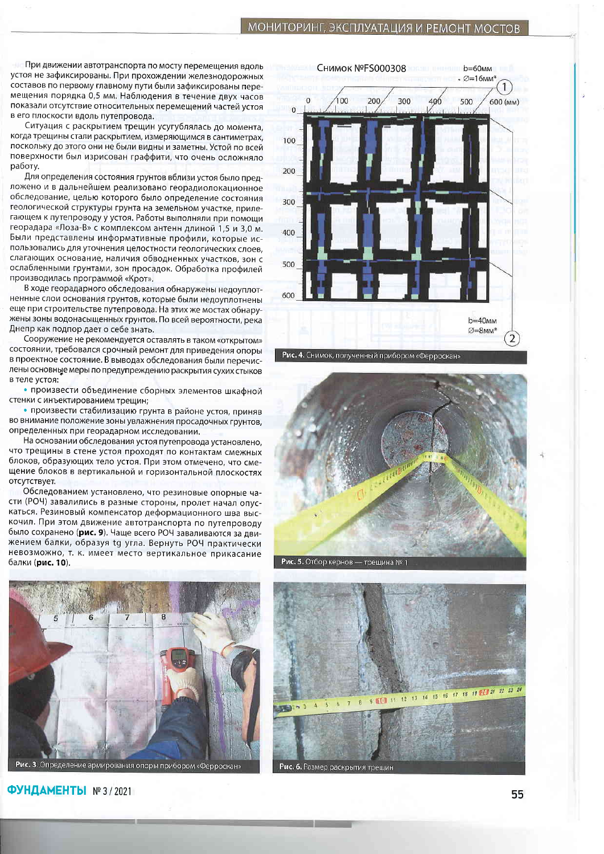При движении автотранспорта по мосту перемещения вдоль устоя не зафиксированы. При прохождении железнодорожных составов по первому главному пути были зафиксированы перемещения порядка 0,5 мм. Наблюдения в течение двух часов показали отсутствие относительных перемещений частей устоя в его плоскости вдоль путепровода.

Ситуация с раскрытием трещин усугублялась до момента, когда трещины стали раскрытием, измеряющимся в сантиметрах, поскольку до этого они не были видны и заметны. Устой по всей поверхности был изрисован граффити, что очень осложняло работу.

Для определения состояния грунтов вблизи устоя было предложено и в дальнейшем реализовано георадиолокационное обследование, целью которого было определение состояния геологической структуры грунта на земельном участке, прилегающем к путепроводу у устоя. Работы выполняли при помощи георадара «Лоза-В» с комплексом антенн длиной 1,5 и 3,0 м. Были представлены информативные профили, которые использовались для уточнения целостности геологических слоев, слагающих основание, наличия обводненных участков, зон с ослабленными грунтами, зон просадок. Обработка профилей производилась программой «Крот».

В ходе георадарного обследования обнаружены недоуплотненные слои основания грунтов, которые были недоуплотнены еще при строительстве путепровода. На этих же мостах обнаружены зоны водонасыщенных грунтов. По всей вероятности, река Днепр как подпор дает о себе знать.

Сооружение не рекомендуется оставлять в таком «открытом» состоянии, требовался срочный ремонт для приведения опоры в проектное состояние. В выводах обследования были перечислены основные меры по предупреждению раскрытия сухих стыков в теле устоя:

• произвести объединение сборных элементов шкафной стенки с инъектированием трещин;

• произвести стабилизацию грунта в районе устоя, приняв во внимание положение зоны увлажнения просадочных грунтов, определенных при георадарном исследовании.

На основании обследования устоя путепровода установлено. что трещины в стене устоя проходят по контактам смежных блоков, образующих тело устоя. При этом отмечено, что смещение блоков в вертикальной и горизонтальной плоскостях отсутствует.

Обследованием установлено, что резиновые опорные части (РОЧ) завалились в разные стороны, пролет начал опускаться. Резиновый компенсатор деформационного шва выскочил. При этом движение автотранспорта по путепроводу было сохранено (рис. 9). Чаще всего РОЧ заваливаются за движением балки, образуя tg угла. Вернуть РОЧ практически невозможно, т. к. имеет место вертикальное прикасание балки (рис. 10).



ФУНДАМЕНТЫ №3/2021





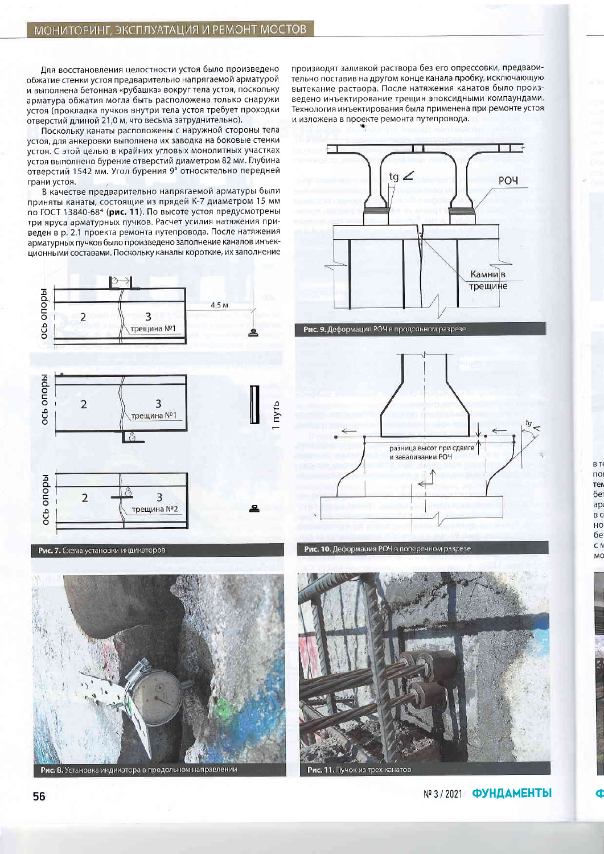Для восстановления целостности устоя было произведено обжатие стенки устоя предварительно напрягаемой арматурой и выполнена бетонная «рубашка» вокруг тела устоя, поскольку арматура обжатия могла быть расположена только снаружи устоя (прокладка пучков внутри тела устоя требует проходки отверстий длиной 21,0 м, что весьма затруднительно).

Поскольку канаты расположены с наружной стороны тела устоя, для анкеровки выполнена их заводка на боковые стенки устоя. С этой целью в крайних угловых монолитных участках устоя выполнено бурение отверстий диаметром 82 мм. Глубина отверстий 1542 мм. Угол бурения 9° относительно передней грани устоя.

В качестве предварительно напрягаемой арматуры были приняты канаты, состоящие из прядей К-7 диаметром 15 мм по ГОСТ 13840-68\* (рис. 11). По высоте устоя предусмотрены три яруса арматурных пучков. Расчет усилия натяжения приведен в р. 2.1 проекта ремонта путепровода. После натяжения арматурных пучков было произведено заполнение каналов инъекционными составами. Поскольку каналы короткие, их заполнение



Рис. 7. Схема установки индикаторов



производят заливкой раствора без его опрессовки, предварительно поставив на другом конце канала пробку, исключающую вытекание раствора. После натяжения канатов было произведено инъектирование трещин эпоксидными компаундами. Технология инъектирования была применена при ремонте устоя и изложена в проекте ремонта путепровода.



Рис. 9. Деформация РОЧ в продольном разрезе



Рис. 10. Деформация РОЧ в поперечном разрезе



B T по

тем бe

ap

B C HO бe

C N

MC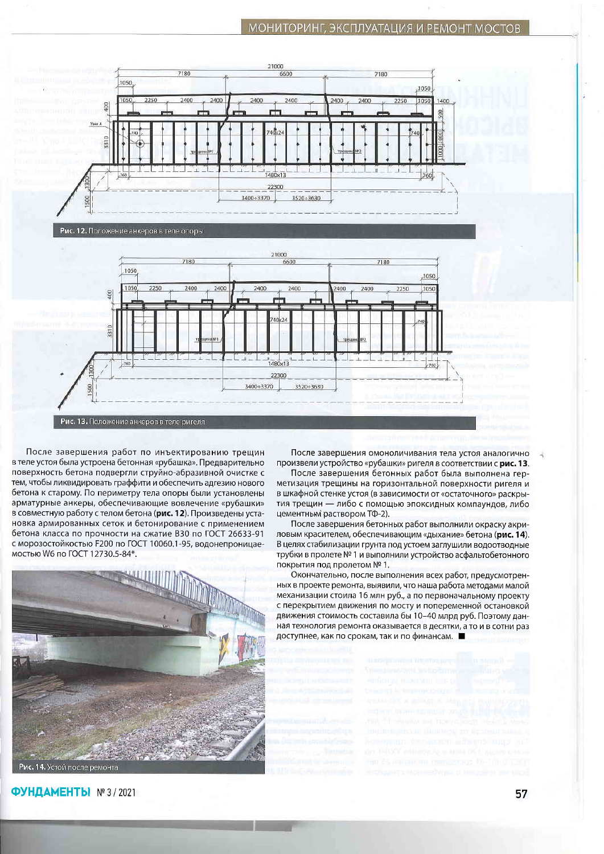## МОНИТОРИНГ, ЭКСПЛУАТАЦИЯ И РЕМОНТ МОСТОВ



3400+3370

3520+3630

После завершения работ по инъектированию трещин в теле устоя была устроена бетонная «рубашка». Предварительно поверхность бетона подвергли струйно-абразивной очистке с тем, чтобы ликвидировать граффити и обеспечить адгезию нового бетона к старому. По периметру тела опоры были установлены арматурные анкеры, обеспечивающие вовлечение «рубашки» в совместную работу с телом бетона (рис. 12). Произведены установка армированных сеток и бетонирование с применением бетона класса по прочности на сжатие В30 по ГОСТ 26633-91 с морозостойкостью F200 по ГОСТ 10060.1-95, водонепроницаемостью W6 по ГОСТ 12730.5-84\*.

Рис. 13. Положение анкеров в теле ригеля



ФУНДАМЕНТЫ №3/2021

После завершения омоноличивания тела устоя аналогично произвели устройство «рубашки» ригеля в соответствии с рис. 13.

После завершения бетонных работ была выполнена герметизация трещины на горизонтальной поверхности ригеля и в шкафной стенке устоя (в зависимости от «остаточного» раскрытия трещин - либо с помощью эпоксидных компаундов, либо цементным раствором ТФ-2).

После завершения бетонных работ выполнили окраску акриловым красителем, обеспечивающим «дыхание» бетона (рис. 14). В целях стабилизации грунта под устоем заглушили водоотводные трубки в пролете № 1 и выполнили устройство асфальтобетонного покрытия под пролетом № 1.

Окончательно, после выполнения всех работ, предусмотренных в проекте ремонта, выявили, что наша работа методами малой механизации стоила 16 млн руб., а по первоначальному проекту с перекрытием движения по мосту и попеременной остановкой движения стоимость составила бы 10-40 млрд руб. Поэтому данная технология ремонта оказывается в десятки, а то и в сотни раз доступнее, как по срокам, так и по финансам. ■